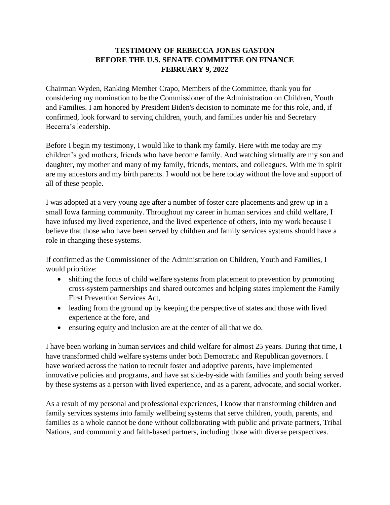## **TESTIMONY OF REBECCA JONES GASTON BEFORE THE U.S. SENATE COMMITTEE ON FINANCE FEBRUARY 9, 2022**

Chairman Wyden, Ranking Member Crapo, Members of the Committee, thank you for considering my nomination to be the Commissioner of the Administration on Children, Youth and Families. I am honored by President Biden's decision to nominate me for this role, and, if confirmed, look forward to serving children, youth, and families under his and Secretary Becerra's leadership.

Before I begin my testimony, I would like to thank my family. Here with me today are my children's god mothers, friends who have become family. And watching virtually are my son and daughter, my mother and many of my family, friends, mentors, and colleagues. With me in spirit are my ancestors and my birth parents. I would not be here today without the love and support of all of these people.

I was adopted at a very young age after a number of foster care placements and grew up in a small Iowa farming community. Throughout my career in human services and child welfare, I have infused my lived experience, and the lived experience of others, into my work because I believe that those who have been served by children and family services systems should have a role in changing these systems.

If confirmed as the Commissioner of the Administration on Children, Youth and Families, I would prioritize:

- shifting the focus of child welfare systems from placement to prevention by promoting cross-system partnerships and shared outcomes and helping states implement the Family First Prevention Services Act,
- leading from the ground up by keeping the perspective of states and those with lived experience at the fore, and
- ensuring equity and inclusion are at the center of all that we do.

I have been working in human services and child welfare for almost 25 years. During that time, I have transformed child welfare systems under both Democratic and Republican governors. I have worked across the nation to recruit foster and adoptive parents, have implemented innovative policies and programs, and have sat side-by-side with families and youth being served by these systems as a person with lived experience, and as a parent, advocate, and social worker.

As a result of my personal and professional experiences, I know that transforming children and family services systems into family wellbeing systems that serve children, youth, parents, and families as a whole cannot be done without collaborating with public and private partners, Tribal Nations, and community and faith-based partners, including those with diverse perspectives.